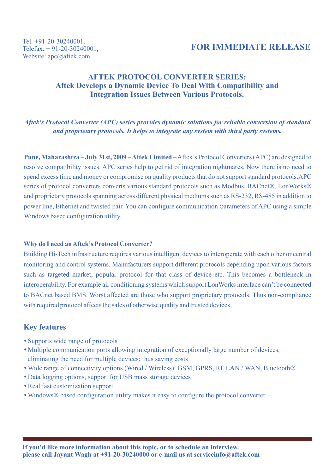# **FOR IMMEDIATE RELEASE**

# **AFTEK PROTOCOL CONVERTER SERIES: Aftek Develops a Dynamic Device To Deal With Compatibility and Integration Issues Between Various Protocols.**

### *Aftek's Protocol Converter (APC) series provides dynamic solutions for reliable conversion of standard and proprietary protocols. It helps to integrate any system with third party systems.*

**Pune, Maharashtra – July 31st, 2009 – Aftek Limited –**Aftek's Protocol Converters (APC) are designed to resolve compatibility issues. APC series help to get rid of integration nightmares. Now there is no need to spend excess time and money or compromise on quality products that do not support standard protocols.APC series of protocol converters converts various standard protocols such as Modbus, BACnet®, LonWorks® and proprietary protocols spanning across different physical mediums such as RS-232, RS-485 in addition to power line, Ethernet and twisted pair. You can configure communication parameters of APC using a simple Windows based configuration utility.

#### **Why do I need an Aftek's Protocol Converter?**

Building Hi-Tech infrastructure requires various intelligent devices to interoperate with each other or central monitoring and control systems. Manufacturers support different protocols depending upon various factors such as targeted market, popular protocol for that class of device etc. This becomes a bottleneck in interoperability. For example air conditioning systems which support LonWorks interface can't be connected to BACnet based BMS. Worst affected are those who support proprietary protocols. Thus non-compliance with required protocol affects the sales of otherwise quality and trusted devices.

### **Key features**

- Supports wide range of protocols
- Multiple communication ports allowing integration of exceptionally large number of devices, eliminating the need for multiple devices; thus saving costs
- Wide range of connectivity options (Wired / Wireless): GSM, GPRS, RF LAN / WAN, Bluetooth®
- Data logging options, support for USB mass storage devices
- Real fast customization support
- Windows® based configuration utility makes it easy to configure the protocol converter